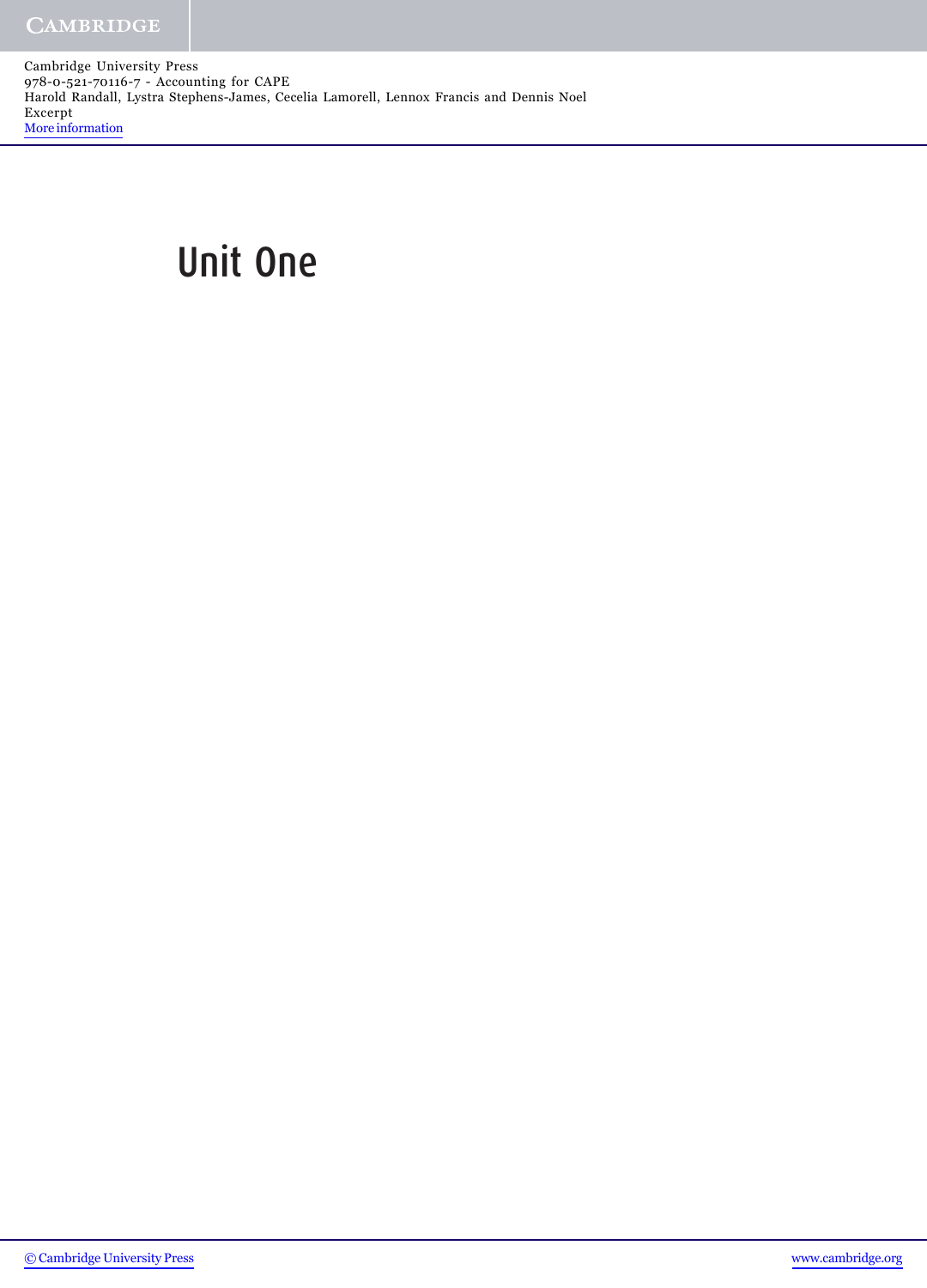Cambridge University Press 978-0-521-70116-7 - Accounting for CAPE Harold Randall, Lystra Stephens-James, Cecelia Lamorell, Lennox Francis and Dennis Noel Excerpt [More information](http://www.cambridge.org/0521701163)

# Unit One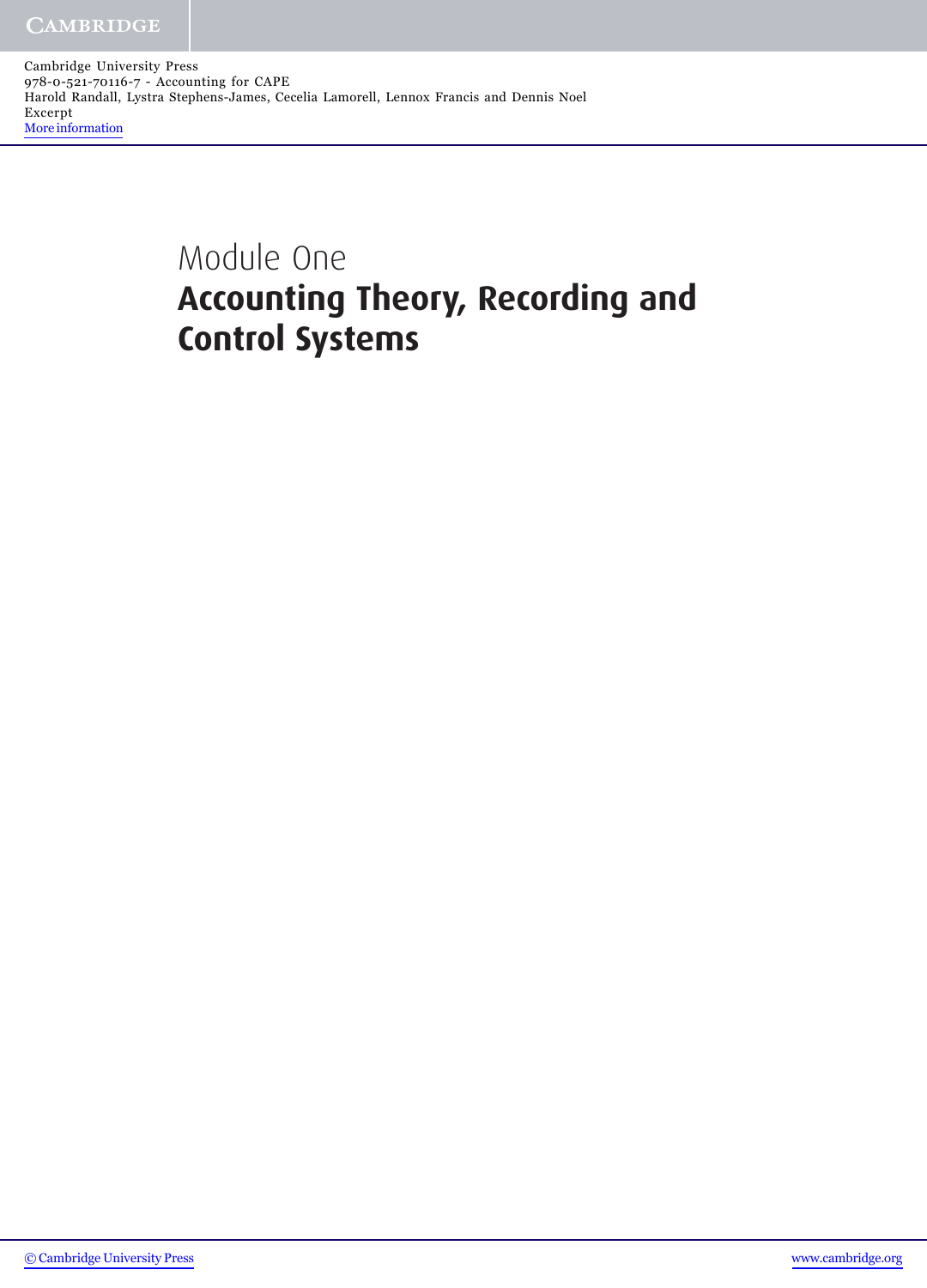Cambridge University Press 978-0-521-70116-7 - Accounting for CAPE Harold Randall, Lystra Stephens-James, Cecelia Lamorell, Lennox Francis and Dennis Noel Excerpt [More information](http://www.cambridge.org/0521701163)

## Module One **Accounting Theory, Recording and Control Systems**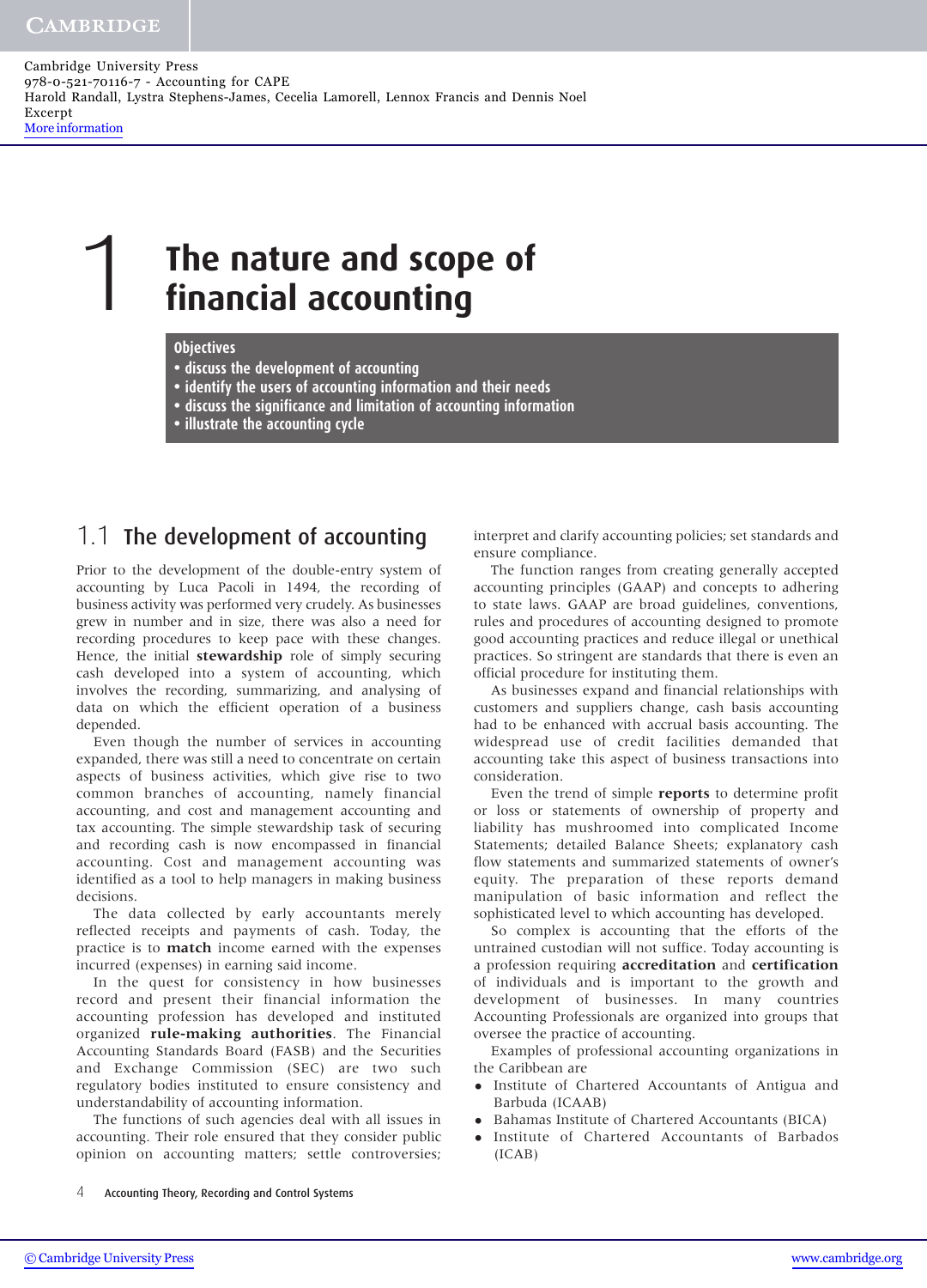Cambridge University Press 978-0-521-70116-7 - Accounting for CAPE Harold Randall, Lystra Stephens-James, Cecelia Lamorell, Lennox Francis and Dennis Noel Excerpt [More information](http://www.cambridge.org/0521701163)

# **The nature and scope of financial accounting**

#### **Objectives**

- **• discuss the development of accounting**
- **• identify the users of accounting information and their needs**
- **• discuss the significance and limitation of accounting information**
- **• illustrate the accounting cycle**

#### 1.1 The development of accounting

Prior to the development of the double-entry system of accounting by Luca Pacoli in 1494, the recording of business activity was performed very crudely. As businesses grew in number and in size, there was also a need for recording procedures to keep pace with these changes. Hence, the initial **stewardship** role of simply securing cash developed into a system of accounting, which involves the recording, summarizing, and analysing of data on which the efficient operation of a business depended.

Even though the number of services in accounting expanded, there was still a need to concentrate on certain aspects of business activities, which give rise to two common branches of accounting, namely financial accounting, and cost and management accounting and tax accounting. The simple stewardship task of securing and recording cash is now encompassed in financial accounting. Cost and management accounting was identified as a tool to help managers in making business decisions.

The data collected by early accountants merely reflected receipts and payments of cash. Today, the practice is to **match** income earned with the expenses incurred (expenses) in earning said income.

In the quest for consistency in how businesses record and present their financial information the accounting profession has developed and instituted organized **rule-making authorities**. The Financial Accounting Standards Board (FASB) and the Securities and Exchange Commission (SEC) are two such regulatory bodies instituted to ensure consistency and understandability of accounting information.

The functions of such agencies deal with all issues in accounting. Their role ensured that they consider public opinion on accounting matters; settle controversies;

interpret and clarify accounting policies; set standards and ensure compliance.

The function ranges from creating generally accepted accounting principles (GAAP) and concepts to adhering to state laws. GAAP are broad guidelines, conventions, rules and procedures of accounting designed to promote good accounting practices and reduce illegal or unethical practices. So stringent are standards that there is even an official procedure for instituting them.

As businesses expand and financial relationships with customers and suppliers change, cash basis accounting had to be enhanced with accrual basis accounting. The widespread use of credit facilities demanded that accounting take this aspect of business transactions into consideration.

Even the trend of simple **reports** to determine profit or loss or statements of ownership of property and liability has mushroomed into complicated Income Statements; detailed Balance Sheets; explanatory cash flow statements and summarized statements of owner's equity. The preparation of these reports demand manipulation of basic information and reflect the sophisticated level to which accounting has developed.

So complex is accounting that the efforts of the untrained custodian will not suffice. Today accounting is a profession requiring **accreditation** and **certification** of individuals and is important to the growth and development of businesses. In many countries Accounting Professionals are organized into groups that oversee the practice of accounting.

Examples of professional accounting organizations in the Caribbean are

- Institute of Chartered Accountants of Antigua and Barbuda (ICAAB)
- Bahamas Institute of Chartered Accountants (BICA)
- Institute of Chartered Accountants of Barbados (ICAB)

4 Accounting Theory, Recording and Control Systems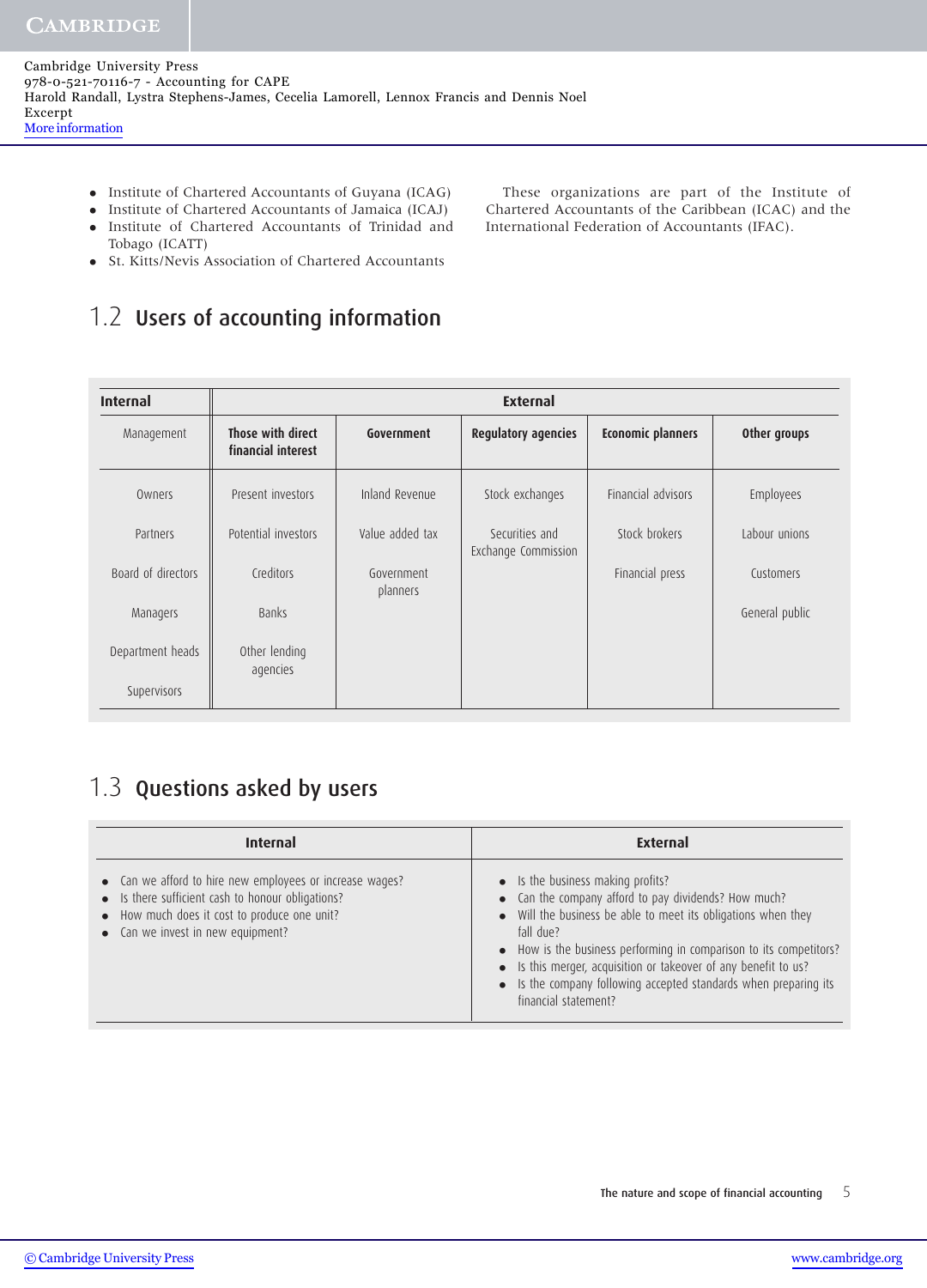- Institute of Chartered Accountants of Guyana (ICAG)
- Institute of Chartered Accountants of Jamaica (ICAJ)
- Institute of Chartered Accountants of Trinidad and Tobago (ICATT)
- St. Kitts/Nevis Association of Chartered Accountants

### 1.2 Users of accounting information

| <b>Internal</b>    | <b>External</b>                         |                        |                                       |                          |                |  |  |  |  |  |
|--------------------|-----------------------------------------|------------------------|---------------------------------------|--------------------------|----------------|--|--|--|--|--|
| Management         | Those with direct<br>financial interest | Government             | <b>Regulatory agencies</b>            | <b>Economic planners</b> | Other groups   |  |  |  |  |  |
| Owners             | Present investors                       | Inland Revenue         | Stock exchanges                       | Financial advisors       | Employees      |  |  |  |  |  |
| Partners           | Potential investors                     | Value added tax        | Securities and<br>Exchange Commission | Stock brokers            | Labour unions  |  |  |  |  |  |
| Board of directors | Creditors                               | Government<br>planners |                                       | Financial press          | Customers      |  |  |  |  |  |
| Managers           | <b>Banks</b>                            |                        |                                       |                          | General public |  |  |  |  |  |
| Department heads   | Other lending<br>agencies               |                        |                                       |                          |                |  |  |  |  |  |
| Supervisors        |                                         |                        |                                       |                          |                |  |  |  |  |  |

### 1.3 Questions asked by users

| <b>Internal</b>                                                                                                                                                                                    | <b>External</b>                                                                                                                                                                                                                                                                                                                                                                                              |  |  |
|----------------------------------------------------------------------------------------------------------------------------------------------------------------------------------------------------|--------------------------------------------------------------------------------------------------------------------------------------------------------------------------------------------------------------------------------------------------------------------------------------------------------------------------------------------------------------------------------------------------------------|--|--|
| • Can we afford to hire new employees or increase wages?<br>• Is there sufficient cash to honour obligations?<br>• How much does it cost to produce one unit?<br>• Can we invest in new equipment? | • Is the business making profits?<br>• Can the company afford to pay dividends? How much?<br>• Will the business be able to meet its obligations when they<br>fall due?<br>• How is the business performing in comparison to its competitors?<br>• Is this merger, acquisition or takeover of any benefit to us?<br>• Is the company following accepted standards when preparing its<br>financial statement? |  |  |

These organizations are part of the Institute of Chartered Accountants of the Caribbean (ICAC) and the International Federation of Accountants (IFAC).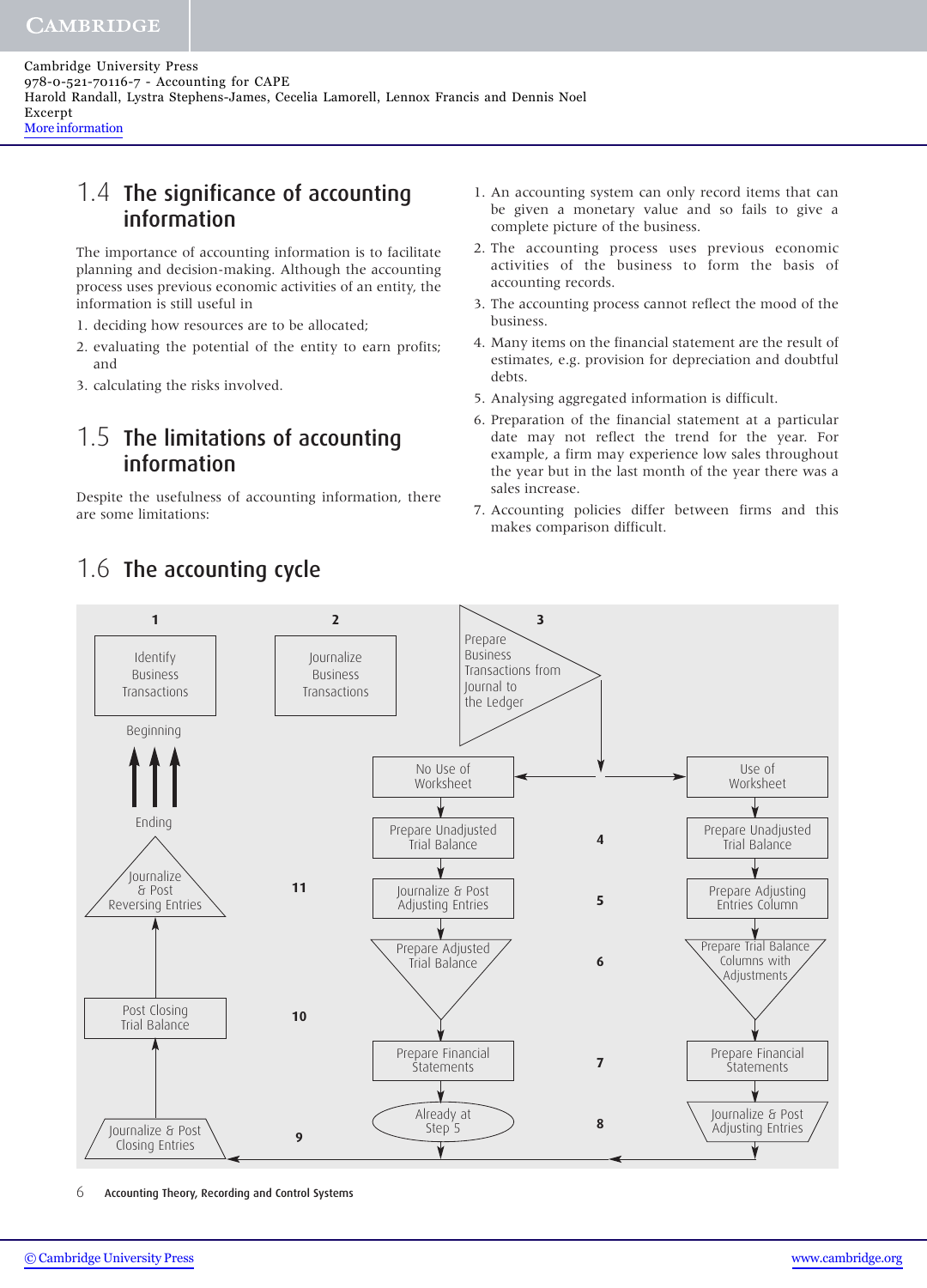#### 1.4 The significance of accounting information

The importance of accounting information is to facilitate planning and decision-making. Although the accounting process uses previous economic activities of an entity, the information is still useful in

- 1. deciding how resources are to be allocated;
- 2. evaluating the potential of the entity to earn profits; and
- 3. calculating the risks involved.

#### 1.5 The limitations of accounting information

Despite the usefulness of accounting information, there are some limitations:

- 1. An accounting system can only record items that can be given a monetary value and so fails to give a complete picture of the business.
- 2. The accounting process uses previous economic activities of the business to form the basis of accounting records.
- 3. The accounting process cannot reflect the mood of the business.
- 4. Many items on the financial statement are the result of estimates, e.g. provision for depreciation and doubtful debts.
- 5. Analysing aggregated information is difficult.
- 6. Preparation of the financial statement at a particular date may not reflect the trend for the year. For example, a firm may experience low sales throughout the year but in the last month of the year there was a sales increase.
- 7. Accounting policies differ between firms and this makes comparison difficult.



6 Accounting Theory, Recording and Control Systems

# 1.6 The accounting cycle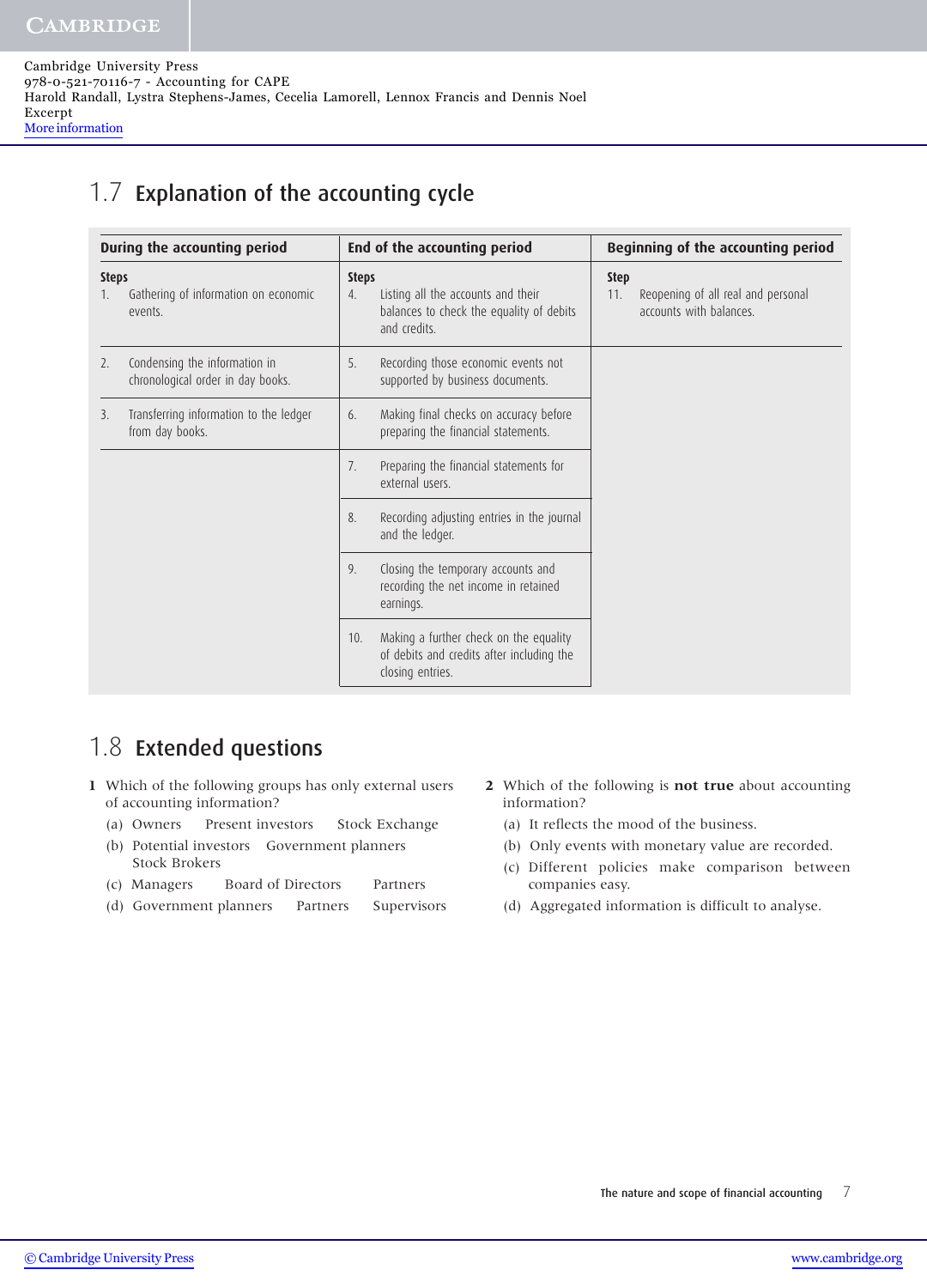#### 1.7 Explanation of the accounting cycle

| During the accounting period |                                                                    |                    | End of the accounting period                                                                            |                    | Beginning of the accounting period                            |  |
|------------------------------|--------------------------------------------------------------------|--------------------|---------------------------------------------------------------------------------------------------------|--------------------|---------------------------------------------------------------|--|
| <b>Steps</b>                 | Gathering of information on economic<br>events.                    | <b>Steps</b><br>4. | Listing all the accounts and their<br>balances to check the equality of debits<br>and credits.          | <b>Step</b><br>11. | Reopening of all real and personal<br>accounts with balances. |  |
| 2.                           | Condensing the information in<br>chronological order in day books. | 5.                 | Recording those economic events not<br>supported by business documents.                                 |                    |                                                               |  |
| 3.                           | Transferring information to the ledger<br>from day books.          | 6.                 | Making final checks on accuracy before<br>preparing the financial statements.                           |                    |                                                               |  |
|                              |                                                                    | 7.                 | Preparing the financial statements for<br>external users.                                               |                    |                                                               |  |
|                              |                                                                    | 8.                 | Recording adjusting entries in the journal<br>and the ledger.                                           |                    |                                                               |  |
|                              |                                                                    | 9.                 | Closing the temporary accounts and<br>recording the net income in retained<br>earnings.                 |                    |                                                               |  |
|                              |                                                                    | 10.                | Making a further check on the equality<br>of debits and credits after including the<br>closing entries. |                    |                                                               |  |

#### 1.8 Extended questions

- **1** Which of the following groups has only external users of accounting information?
	- (a) Owners Present investors Stock Exchange
	- (b) Potential investors Government planners Stock Brokers
	- (c) Managers Board of Directors Partners
	- (d) Government planners Partners Supervisors
- **2** Which of the following is **not true** about accounting information?
	- (a) It reflects the mood of the business.
	- (b) Only events with monetary value are recorded.
	- (c) Different policies make comparison between companies easy.
	- (d) Aggregated information is difficult to analyse.